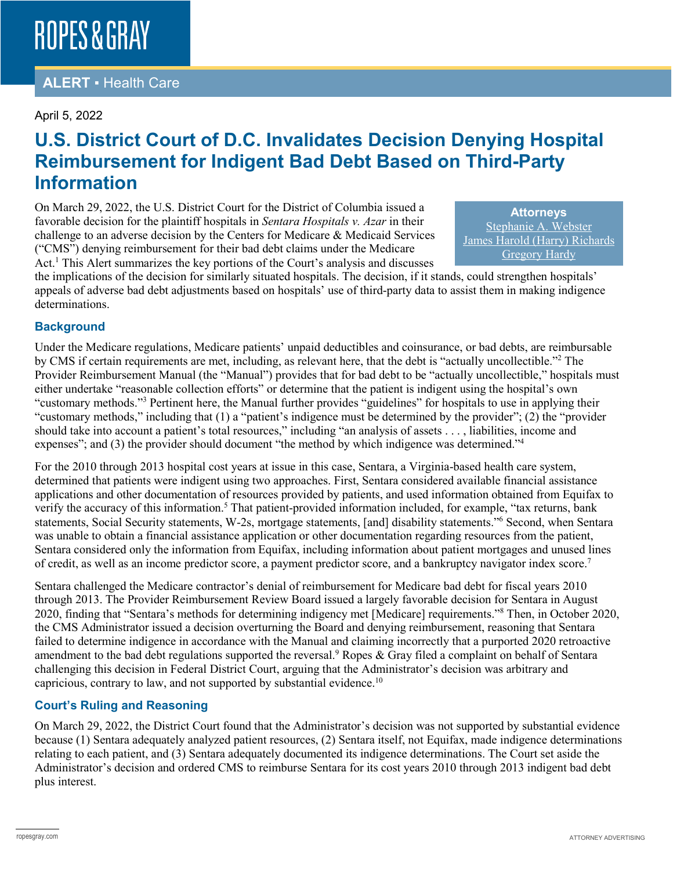## **ROPES & GRAY**

## **ALERT** ▪ Health Care

### April 5, 2022

## **U.S. District Court of D.C. Invalidates Decision Denying Hospital Reimbursement for Indigent Bad Debt Based on Third-Party Information**

On March 29, 2022, the U.S. District Court for the District of Columbia issued a favorable decision for the plaintiff hospitals in *Sentara Hospitals v. Azar* in their challenge to an adverse decision by the Centers for Medicare & Medicaid Services ("CMS") denying reimbursement for their bad debt claims under the Medicare Act.<sup>1</sup> This Alert summarizes the key portions of the Court's analysis and discusses

**Attorneys** [Stephanie A. Webster](https://www.ropesgray.com/en/biographies/w/stephanie-webster) [James Harold \(Harry\) Richards](https://www.ropesgray.com/en/biographies/r/harry-richards) [Gregory Hardy](https://www.ropesgray.com/en/biographies/h/gregory-hardy)

the implications of the decision for similarly situated hospitals. The decision, if it stands, could strengthen hospitals' appeals of adverse bad debt adjustments based on hospitals' use of third-party data to assist them in making indigence determinations.

### **Background**

Under the Medicare regulations, Medicare patients' unpaid deductibles and coinsurance, or bad debts, are reimbursable by CMS if certain requirements are met, including, as relevant here, that the debt is "actually uncollectible."2 The Provider Reimbursement Manual (the "Manual") provides that for bad debt to be "actually uncollectible," hospitals must either undertake "reasonable collection efforts" or determine that the patient is indigent using the hospital's own "customary methods."3 Pertinent here, the Manual further provides "guidelines" for hospitals to use in applying their "customary methods," including that (1) a "patient's indigence must be determined by the provider"; (2) the "provider should take into account a patient's total resources," including "an analysis of assets . . . , liabilities, income and expenses"; and (3) the provider should document "the method by which indigence was determined."<sup>4</sup>

For the 2010 through 2013 hospital cost years at issue in this case, Sentara, a Virginia-based health care system, determined that patients were indigent using two approaches. First, Sentara considered available financial assistance applications and other documentation of resources provided by patients, and used information obtained from Equifax to verify the accuracy of this information.<sup>5</sup> That patient-provided information included, for example, "tax returns, bank statements, Social Security statements, W-2s, mortgage statements, [and] disability statements."6 Second, when Sentara was unable to obtain a financial assistance application or other documentation regarding resources from the patient, Sentara considered only the information from Equifax, including information about patient mortgages and unused lines of credit, as well as an income predictor score, a payment predictor score, and a bankruptcy navigator index score.7

Sentara challenged the Medicare contractor's denial of reimbursement for Medicare bad debt for fiscal years 2010 through 2013. The Provider Reimbursement Review Board issued a largely favorable decision for Sentara in August 2020, finding that "Sentara's methods for determining indigency met [Medicare] requirements."8 Then, in October 2020, the CMS Administrator issued a decision overturning the Board and denying reimbursement, reasoning that Sentara failed to determine indigence in accordance with the Manual and claiming incorrectly that a purported 2020 retroactive amendment to the bad debt regulations supported the reversal.<sup>9</sup> Ropes & Gray filed a complaint on behalf of Sentara challenging this decision in Federal District Court, arguing that the Administrator's decision was arbitrary and capricious, contrary to law, and not supported by substantial evidence.10

### **Court's Ruling and Reasoning**

On March 29, 2022, the District Court found that the Administrator's decision was not supported by substantial evidence because (1) Sentara adequately analyzed patient resources, (2) Sentara itself, not Equifax, made indigence determinations relating to each patient, and (3) Sentara adequately documented its indigence determinations. The Court set aside the Administrator's decision and ordered CMS to reimburse Sentara for its cost years 2010 through 2013 indigent bad debt plus interest.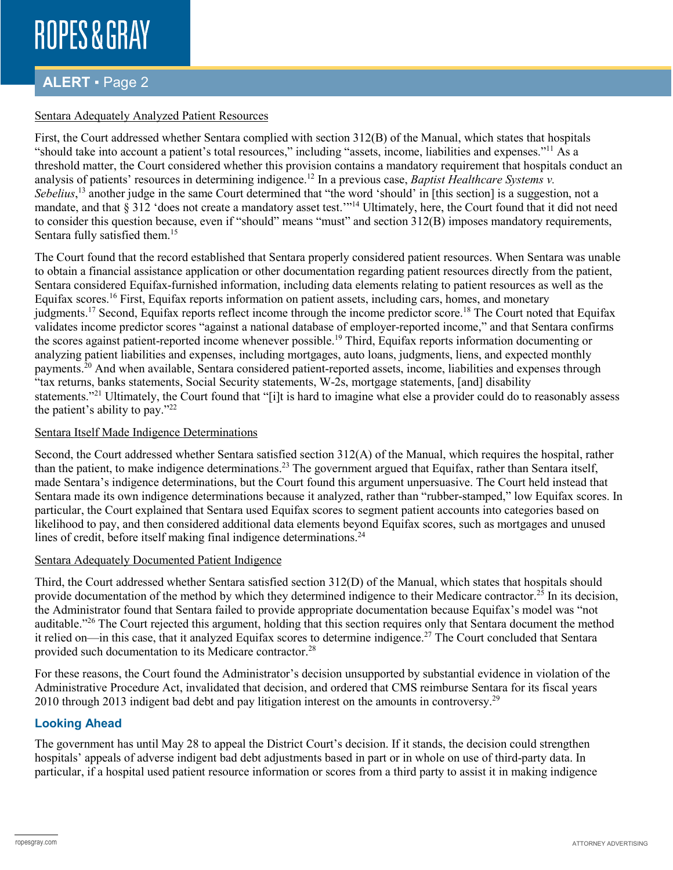# **ROPES & GRAY**

## **ALERT** ▪ Page 2

### Sentara Adequately Analyzed Patient Resources

First, the Court addressed whether Sentara complied with section 312(B) of the Manual, which states that hospitals "should take into account a patient's total resources," including "assets, income, liabilities and expenses."11 As a threshold matter, the Court considered whether this provision contains a mandatory requirement that hospitals conduct an analysis of patients' resources in determining indigence.<sup>12</sup> In a previous case, *Baptist Healthcare Systems v*. Sebelius,<sup>13</sup> another judge in the same Court determined that "the word 'should' in [this section] is a suggestion, not a mandate, and that § 312 'does not create a mandatory asset test."<sup>14</sup> Ultimately, here, the Court found that it did not need to consider this question because, even if "should" means "must" and section 312(B) imposes mandatory requirements, Sentara fully satisfied them.<sup>15</sup>

The Court found that the record established that Sentara properly considered patient resources. When Sentara was unable to obtain a financial assistance application or other documentation regarding patient resources directly from the patient, Sentara considered Equifax-furnished information, including data elements relating to patient resources as well as the Equifax scores.16 First, Equifax reports information on patient assets, including cars, homes, and monetary judgments.<sup>17</sup> Second, Equifax reports reflect income through the income predictor score.<sup>18</sup> The Court noted that Equifax validates income predictor scores "against a national database of employer-reported income," and that Sentara confirms the scores against patient-reported income whenever possible.<sup>19</sup> Third, Equifax reports information documenting or analyzing patient liabilities and expenses, including mortgages, auto loans, judgments, liens, and expected monthly payments.20 And when available, Sentara considered patient-reported assets, income, liabilities and expenses through "tax returns, banks statements, Social Security statements, W-2s, mortgage statements, [and] disability statements."<sup>21</sup> Ultimately, the Court found that "[i]t is hard to imagine what else a provider could do to reasonably assess the patient's ability to pay."22

#### Sentara Itself Made Indigence Determinations

Second, the Court addressed whether Sentara satisfied section 312(A) of the Manual, which requires the hospital, rather than the patient, to make indigence determinations.23 The government argued that Equifax, rather than Sentara itself, made Sentara's indigence determinations, but the Court found this argument unpersuasive. The Court held instead that Sentara made its own indigence determinations because it analyzed, rather than "rubber-stamped," low Equifax scores. In particular, the Court explained that Sentara used Equifax scores to segment patient accounts into categories based on likelihood to pay, and then considered additional data elements beyond Equifax scores, such as mortgages and unused lines of credit, before itself making final indigence determinations.<sup>24</sup>

### Sentara Adequately Documented Patient Indigence

Third, the Court addressed whether Sentara satisfied section 312(D) of the Manual, which states that hospitals should provide documentation of the method by which they determined indigence to their Medicare contractor.25 In its decision, the Administrator found that Sentara failed to provide appropriate documentation because Equifax's model was "not auditable."26 The Court rejected this argument, holding that this section requires only that Sentara document the method it relied on—in this case, that it analyzed Equifax scores to determine indigence.27 The Court concluded that Sentara provided such documentation to its Medicare contractor.<sup>28</sup>

For these reasons, the Court found the Administrator's decision unsupported by substantial evidence in violation of the Administrative Procedure Act, invalidated that decision, and ordered that CMS reimburse Sentara for its fiscal years 2010 through 2013 indigent bad debt and pay litigation interest on the amounts in controversy.<sup>29</sup>

## **Looking Ahead**

The government has until May 28 to appeal the District Court's decision. If it stands, the decision could strengthen hospitals' appeals of adverse indigent bad debt adjustments based in part or in whole on use of third-party data. In particular, if a hospital used patient resource information or scores from a third party to assist it in making indigence